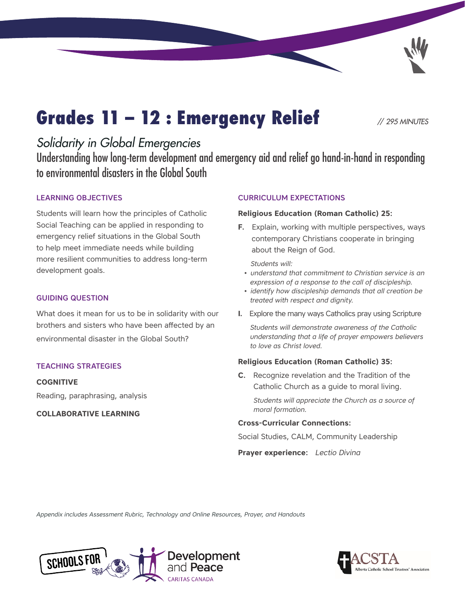# Grades 11 – 12 : Emergency Relief *// 295 MINUTES*

## *Solidarity in Global Emergencies*

Understanding how long-term development and emergency aid and relief go hand-in-hand in responding to environmental disasters in the Global South

### LEARNING OBJECTIVES

Students will learn how the principles of Catholic Social Teaching can be applied in responding to emergency relief situations in the Global South to help meet immediate needs while building more resilient communities to address long-term development goals.

#### GUIDING QUESTION

What does it mean for us to be in solidarity with our brothers and sisters who have been affected by an environmental disaster in the Global South?

#### TEACHING STRATEGIES

**COGNITIVE**

Reading, paraphrasing, analysis

**COLLABORATIVE LEARNING**

### CURRICULUM EXPECTATIONS

#### **Religious Education (Roman Catholic) 25:**

**F.** Explain, working with multiple perspectives, ways contemporary Christians cooperate in bringing about the Reign of God.

 *Students will:*

- *understand that commitment to Christian service is an expression of a response to the call of discipleship.*
- *identify how discipleship demands that all creation be treated with respect and dignity.*
- **I.** Explore the many ways Catholics pray using Scripture

*Students will demonstrate awareness of the Catholic understanding that a life of prayer empowers believers to love as Christ loved.*

#### **Religious Education (Roman Catholic) 35:**

**C.** Recognize revelation and the Tradition of the Catholic Church as a guide to moral living.

 *Students will appreciate the Church as a source of moral formation.*

#### **Cross-Curricular Connections:**

Social Studies, CALM, Community Leadership

**Prayer experience:** *Lectio Divina*

*Appendix includes Assessment Rubric, Technology and Online Resources, Prayer, and Handouts*



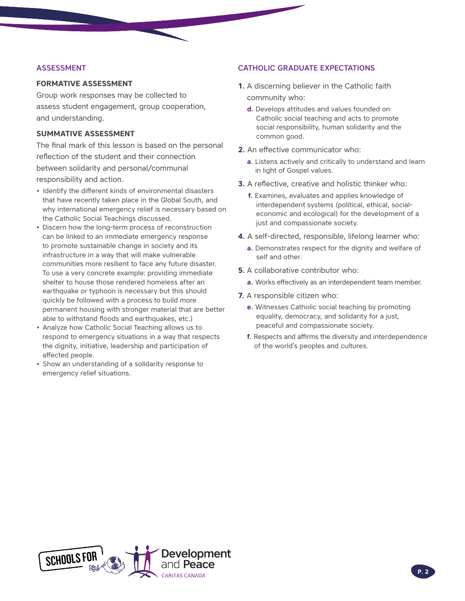#### ASSESSMENT

#### **FORMATIVE ASSESSMENT**

Group work responses may be collected to assess student engagement, group cooperation, and understanding.

#### **SUMMATIVE ASSESSMENT**

The final mark of this lesson is based on the personal reflection of the student and their connection between solidarity and personal/communal responsibility and action.

- Identify the different kinds of environmental disasters that have recently taken place in the Global South, and why international emergency relief is necessary based on the Catholic Social Teachings discussed.
- Discern how the long-term process of reconstruction can be linked to an immediate emergency response to promote sustainable change in society and its infrastructure in a way that will make vulnerable communities more resilient to face any future disaster. To use a very concrete example: providing immediate shelter to house those rendered homeless after an earthquake or typhoon is necessary but this should quickly be followed with a process to build more permanent housing with stronger material that are better able to withstand floods and earthquakes, etc.)
- Analyze how Catholic Social Teaching allows us to respond to emergency situations in a way that respects the dignity, initiative, leadership and participation of affected people.
- Show an understanding of a solidarity response to emergency relief situations.

#### CATHOLIC GRADUATE EXPECTATIONS

- **1.** A discerning believer in the Catholic faith community who:
	- **d.** Develops attitudes and values founded on Catholic social teaching and acts to promote social responsibility, human solidarity and the common good.
- **2.** An effective communicator who:
	- **a**. Listens actively and critically to understand and learn in light of Gospel values.
- **3.** A reflective, creative and holistic thinker who:
	- **f.** Examines, evaluates and applies knowledge of interdependent systems (political, ethical, socialeconomic and ecological) for the development of a just and compassionate society.
- **4.** A self-directed, responsible, lifelong learner who:
	- **a.** Demonstrates respect for the dignity and welfare of self and other.
- **5.** A collaborative contributor who:
	- **a.** Works effectively as an interdependent team member.
- **7.** A responsible citizen who:
	- **e.** Witnesses Catholic social teaching by promoting equality, democracy, and solidarity for a just, peaceful and compassionate society.
	- **f.** Respects and affirms the diversity and interdependence of the world's peoples and cultures.

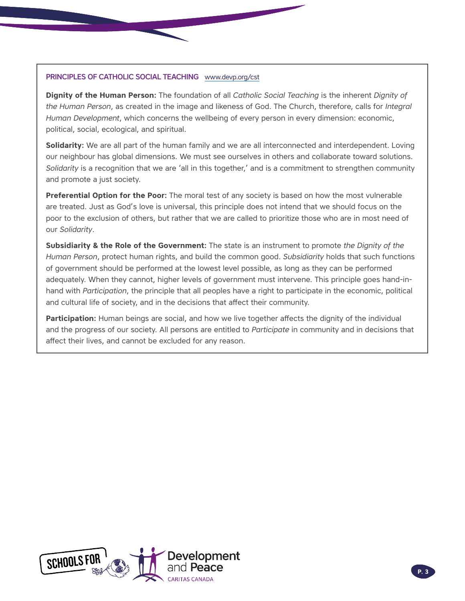#### PRINCIPLES OF CATHOLIC SOCIAL TEACHING www.devp.org/cst

**Dignity of the Human Person:** The foundation of all *Catholic Social Teaching* is the inherent *Dignity of the Human Person*, as created in the image and likeness of God. The Church, therefore, calls for *Integral Human Development*, which concerns the wellbeing of every person in every dimension: economic, political, social, ecological, and spiritual.

**Solidarity:** We are all part of the human family and we are all interconnected and interdependent. Loving our neighbour has global dimensions. We must see ourselves in others and collaborate toward solutions. *Solidarity* is a recognition that we are 'all in this together,' and is a commitment to strengthen community and promote a just society.

**Preferential Option for the Poor:** The moral test of any society is based on how the most vulnerable are treated. Just as God's love is universal, this principle does not intend that we should focus on the poor to the exclusion of others, but rather that we are called to prioritize those who are in most need of our *Solidarity*.

**Subsidiarity & the Role of the Government:** The state is an instrument to promote *the Dignity of the Human Person*, protect human rights, and build the common good. *Subsidiarity* holds that such functions of government should be performed at the lowest level possible, as long as they can be performed adequately. When they cannot, higher levels of government must intervene. This principle goes hand-inhand with *Participation*, the principle that all peoples have a right to participate in the economic, political and cultural life of society, and in the decisions that affect their community.

**Participation:** Human beings are social, and how we live together affects the dignity of the individual and the progress of our society. All persons are entitled to *Participate* in community and in decisions that affect their lives, and cannot be excluded for any reason.

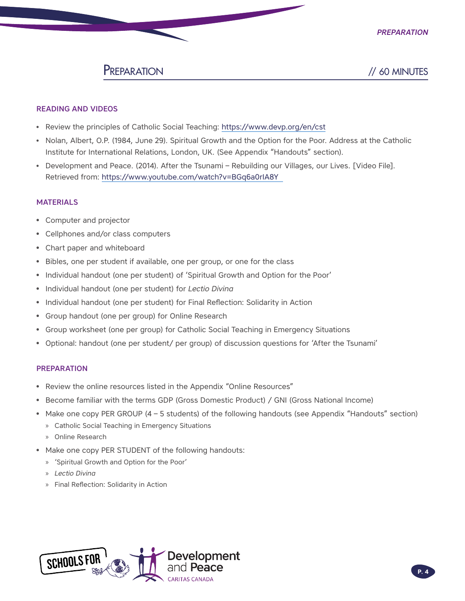

## PREPARATION // 60 MINUTES

#### READING AND VIDEOS

- Review the principles of Catholic Social Teaching:<https://www.devp.org/en/cst>
- Nolan, Albert, O.P. (1984, June 29). Spiritual Growth and the Option for the Poor. Address at the Catholic Institute for International Relations, London, UK. (See Appendix "Handouts" section).
- Development and Peace. (2014). After the Tsunami Rebuilding our Villages, our Lives. [Video File]. Retrieved from:<https://www.youtube.com/watch?v=BGq6a0rIA8Y>

#### MATERIALS

- Computer and projector
- Cellphones and/or class computers
- Chart paper and whiteboard
- Bibles, one per student if available, one per group, or one for the class
- Individual handout (one per student) of 'Spiritual Growth and Option for the Poor'
- Individual handout (one per student) for *Lectio Divina*
- Individual handout (one per student) for Final Reflection: Solidarity in Action
- Group handout (one per group) for Online Research
- Group worksheet (one per group) for Catholic Social Teaching in Emergency Situations
- Optional: handout (one per student/ per group) of discussion questions for 'After the Tsunami'

#### PREPARATION

- Review the online resources listed in the Appendix "Online Resources"
- Become familiar with the terms GDP (Gross Domestic Product) / GNI (Gross National Income)
- Make one copy PER GROUP (4 5 students) of the following handouts (see Appendix "Handouts" section)
	- » Catholic Social Teaching in Emergency Situations
	- » Online Research
- Make one copy PER STUDENT of the following handouts:
	- » 'Spiritual Growth and Option for the Poor'
	- » *Lectio Divina*
	- » Final Reflection: Solidarity in Action

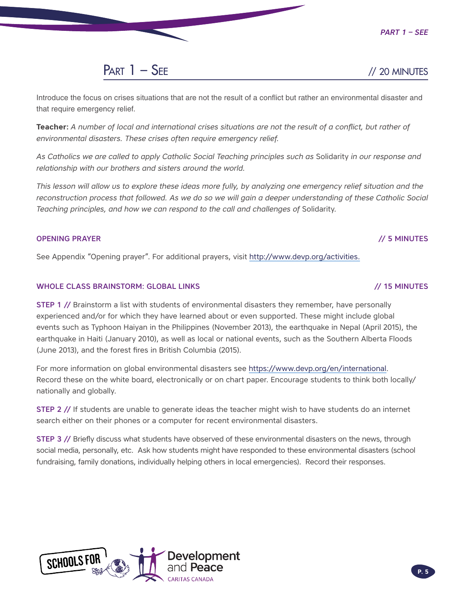*Part 1 – See*



Introduce the focus on crises situations that are not the result of a conflict but rather an environmental disaster and that require emergency relief.

**Teacher:** *A number of local and international crises situations are not the result of a conflict, but rather of environmental disasters. These crises often require emergency relief.* 

*As Catholics we are called to apply Catholic Social Teaching principles such as* Solidarity *in our response and relationship with our brothers and sisters around the world.*

*This lesson will allow us to explore these ideas more fully, by analyzing one emergency relief situation and the reconstruction process that followed. As we do so we will gain a deeper understanding of these Catholic Social Teaching principles, and how we can respond to the call and challenges of* Solidarity*.*

### OPENING PRAYER // 5 MINUTES

See Appendix "Opening prayer". For additional prayers, visit<http://www.devp.org/activities>.

### WHOLE CLASS BRAINSTORM: GLOBAL LINKS // 15 MINUTES

STEP 1 // Brainstorm a list with students of environmental disasters they remember, have personally experienced and/or for which they have learned about or even supported. These might include global events such as Typhoon Haiyan in the Philippines (November 2013), the earthquake in Nepal (April 2015), the earthquake in Haiti (January 2010), as well as local or national events, such as the Southern Alberta Floods (June 2013), and the forest fires in British Columbia (2015).

For more information on global environmental disasters see [https://www.devp.org/en/international.](https://www.devp.org/en/international) Record these on the white board, electronically or on chart paper. Encourage students to think both locally/ nationally and globally.

STEP 2 // If students are unable to generate ideas the teacher might wish to have students do an internet search either on their phones or a computer for recent environmental disasters.

STEP 3 // Briefly discuss what students have observed of these environmental disasters on the news, through social media, personally, etc. Ask how students might have responded to these environmental disasters (school fundraising, family donations, individually helping others in local emergencies). Record their responses.

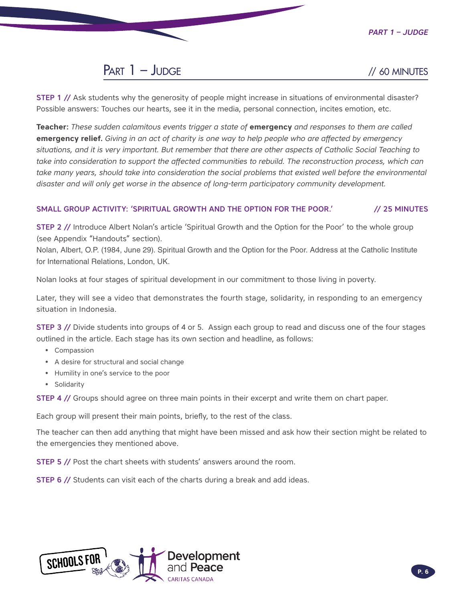*Part 1 – Judge*

## Part 1 – Judge *//* 60 MINUTES

STEP 1 // Ask students why the generosity of people might increase in situations of environmental disaster? Possible answers: Touches our hearts, see it in the media, personal connection, incites emotion, etc.

**Teacher:** *These sudden calamitous events trigger a state of* **emergency** *and responses to them are called*  **emergency relief.** *Giving in an act of charity is one way to help people who are affected by emergency situations, and it is very important. But remember that there are other aspects of Catholic Social Teaching to take into consideration to support the affected communities to rebuild. The reconstruction process, which can* take many years, should take into consideration the social problems that existed well before the environmental *disaster and will only get worse in the absence of long-term participatory community development.* 

### SMALL GROUP ACTIVITY: 'SPIRITUAL GROWTH AND THE OPTION FOR THE POOR.' // 25 MINUTES

STEP 2 // Introduce Albert Nolan's article 'Spiritual Growth and the Option for the Poor' to the whole group (see Appendix "Handouts" section).

Nolan, Albert, O.P. (1984, June 29). Spiritual Growth and the Option for the Poor. Address at the Catholic Institute for International Relations, London, UK.

Nolan looks at four stages of spiritual development in our commitment to those living in poverty.

Later, they will see a video that demonstrates the fourth stage, solidarity, in responding to an emergency situation in Indonesia.

STEP 3 // Divide students into groups of 4 or 5. Assign each group to read and discuss one of the four stages outlined in the article. Each stage has its own section and headline, as follows:

- Compassion
- A desire for structural and social change
- Humility in one's service to the poor
- Solidarity

**STEP 4** // Groups should agree on three main points in their excerpt and write them on chart paper.

Each group will present their main points, briefly, to the rest of the class.

The teacher can then add anything that might have been missed and ask how their section might be related to the emergencies they mentioned above.

STEP 5 // Post the chart sheets with students' answers around the room.

STEP 6 // Students can visit each of the charts during a break and add ideas.

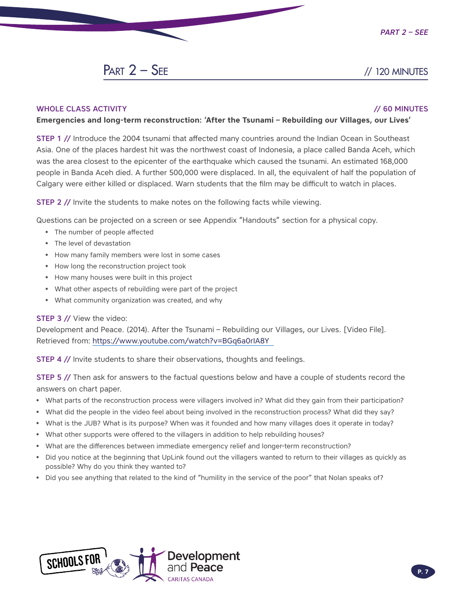## $PART 2 - SEE$  // 120 MINUTES

#### WHOLE CLASS ACTIVITY // 60 MINUTES

#### **Emergencies and long-term reconstruction: 'After the Tsunami – Rebuilding our Villages, our Lives'**

STEP 1 // Introduce the 2004 tsunami that affected many countries around the Indian Ocean in Southeast Asia. One of the places hardest hit was the northwest coast of Indonesia, a place called Banda Aceh, which was the area closest to the epicenter of the earthquake which caused the tsunami. An estimated 168,000 people in Banda Aceh died. A further 500,000 were displaced. In all, the equivalent of half the population of Calgary were either killed or displaced. Warn students that the film may be difficult to watch in places.

STEP 2 // Invite the students to make notes on the following facts while viewing.

Questions can be projected on a screen or see Appendix "Handouts" section for a physical copy.

- The number of people affected
- The level of devastation
- How many family members were lost in some cases
- How long the reconstruction project took
- How many houses were built in this project
- What other aspects of rebuilding were part of the project
- What community organization was created, and why

#### STEP 3 // View the video:

Development and Peace. (2014). After the Tsunami – Rebuilding our Villages, our Lives. [Video File]. Retrieved from: <https://www.youtube.com/watch?v=BGq6a0rIA8Y>

**STEP 4 // Invite students to share their observations, thoughts and feelings.** 

STEP 5 // Then ask for answers to the factual questions below and have a couple of students record the answers on chart paper.

- What parts of the reconstruction process were villagers involved in? What did they gain from their participation?
- What did the people in the video feel about being involved in the reconstruction process? What did they say?
- What is the JUB? What is its purpose? When was it founded and how many villages does it operate in today?
- What other supports were offered to the villagers in addition to help rebuilding houses?
- What are the differences between immediate emergency relief and longer-term reconstruction?
- Did you notice at the beginning that UpLink found out the villagers wanted to return to their villages as quickly as possible? Why do you think they wanted to?
- Did you see anything that related to the kind of "humility in the service of the poor" that Nolan speaks of?

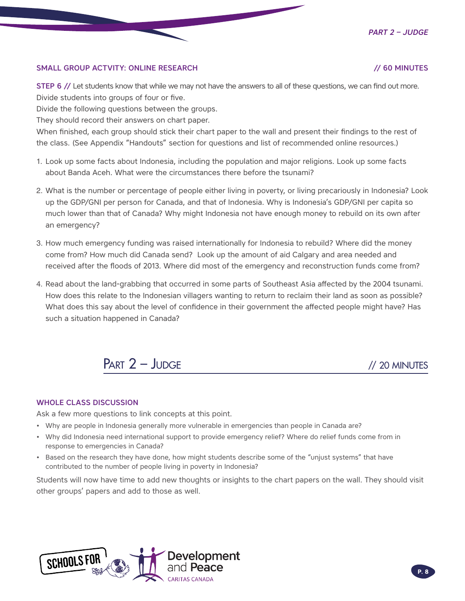*Part 2 – Judge*

#### SMALL GROUP ACTVITY: ONLINE RESEARCH // 60 MINUTES

STEP 6 // Let students know that while we may not have the answers to all of these questions, we can find out more. Divide students into groups of four or five.

Divide the following questions between the groups.

They should record their answers on chart paper.

When finished, each group should stick their chart paper to the wall and present their findings to the rest of the class. (See Appendix "Handouts" section for questions and list of recommended online resources.)

- 1. Look up some facts about Indonesia, including the population and major religions. Look up some facts about Banda Aceh. What were the circumstances there before the tsunami?
- 2. What is the number or percentage of people either living in poverty, or living precariously in Indonesia? Look up the GDP/GNI per person for Canada, and that of Indonesia. Why is Indonesia's GDP/GNI per capita so much lower than that of Canada? Why might Indonesia not have enough money to rebuild on its own after an emergency?
- 3. How much emergency funding was raised internationally for Indonesia to rebuild? Where did the money come from? How much did Canada send? Look up the amount of aid Calgary and area needed and received after the floods of 2013. Where did most of the emergency and reconstruction funds come from?
- 4. Read about the land-grabbing that occurred in some parts of Southeast Asia affected by the 2004 tsunami. How does this relate to the Indonesian villagers wanting to return to reclaim their land as soon as possible? What does this say about the level of confidence in their government the affected people might have? Has such a situation happened in Canada?



#### WHOLE CLASS DISCUSSION

Ask a few more questions to link concepts at this point.

- Why are people in Indonesia generally more vulnerable in emergencies than people in Canada are?
- Why did Indonesia need international support to provide emergency relief? Where do relief funds come from in response to emergencies in Canada?
- Based on the research they have done, how might students describe some of the "unjust systems" that have contributed to the number of people living in poverty in Indonesia?

Students will now have time to add new thoughts or insights to the chart papers on the wall. They should visit other groups' papers and add to those as well.

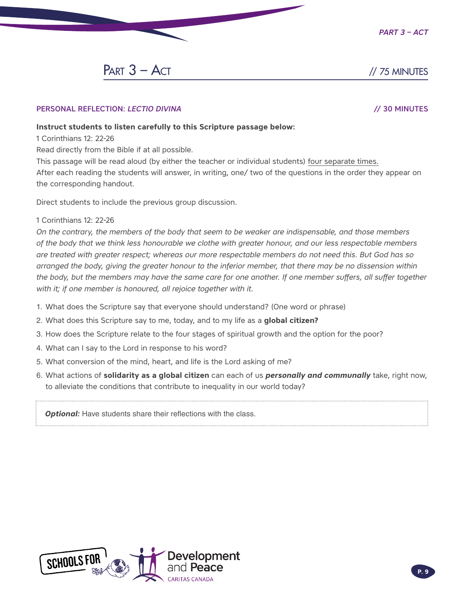

 $PART 3 - ACT$  // 75 MINUTES

#### PERSONAL REFLECTION: *LECTIO DIVINA* // 30 MINUTES

#### **Instruct students to listen carefully to this Scripture passage below:**

1 Corinthians 12: 22-26

Read directly from the Bible if at all possible.

This passage will be read aloud (by either the teacher or individual students) four separate times. After each reading the students will answer, in writing, one/ two of the questions in the order they appear on the corresponding handout.

Direct students to include the previous group discussion.

#### 1 Corinthians 12: 22-26

*On the contrary, the members of the body that seem to be weaker are indispensable, and those members of the body that we think less honourable we clothe with greater honour, and our less respectable members are treated with greater respect; whereas our more respectable members do not need this. But God has so arranged the body, giving the greater honour to the inferior member, that there may be no dissension within the body, but the members may have the same care for one another. If one member suffers, all suffer together* with it; if one member is honoured, all rejoice together with it.

- 1. What does the Scripture say that everyone should understand? (One word or phrase)
- 2. What does this Scripture say to me, today, and to my life as a **global citizen?**
- 3. How does the Scripture relate to the four stages of spiritual growth and the option for the poor?
- 4. What can I say to the Lord in response to his word?
- 5. What conversion of the mind, heart, and life is the Lord asking of me?
- 6. What actions of **solidarity as a global citizen** can each of us *personally and communally* take, right now, to alleviate the conditions that contribute to inequality in our world today?

**Optional:** Have students share their reflections with the class.

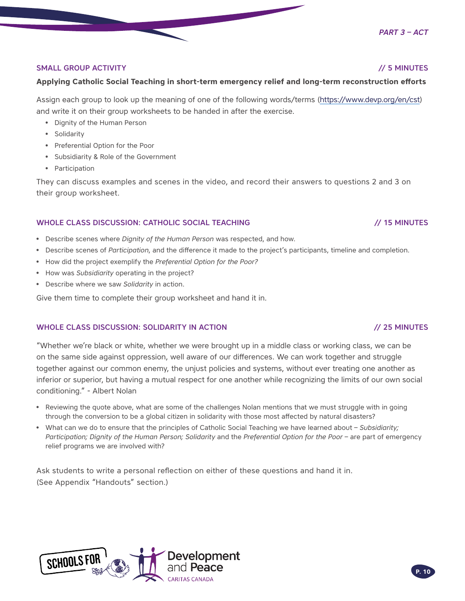#### SMALL GROUP ACTIVITY **ACTIVITY** And the state of the state of the state of the state of the state of the state of the state of the state of the state of the state of the state of the state of the state of the state of the

#### **Applying Catholic Social Teaching in short-term emergency relief and long-term reconstruction efforts**

Assign each group to look up the meaning of one of the following words/terms [\(https://www.devp.org/en/cst\)](https://www.devp.org/en/cst) and write it on their group worksheets to be handed in after the exercise.

- Dignity of the Human Person
- Solidarity
- Preferential Option for the Poor
- Subsidiarity & Role of the Government
- Participation

They can discuss examples and scenes in the video, and record their answers to questions 2 and 3 on their group worksheet.

#### WHOLE CLASS DISCUSSION: CATHOLIC SOCIAL TEACHING // 15 MINUTES

- Describe scenes where *Dignity of the Human Person* was respected, and how.
- Describe scenes of *Participation*, and the difference it made to the project's participants, timeline and completion.
- How did the project exemplify the *Preferential Option for the Poor?*
- How was *Subsidiarity* operating in the project?
- Describe where we saw *Solidarity* in action.

Give them time to complete their group worksheet and hand it in.

#### WHOLE CLASS DISCUSSION: SOLIDARITY IN ACTION // 25 MINUTES

"Whether we're black or white, whether we were brought up in a middle class or working class, we can be on the same side against oppression, well aware of our differences. We can work together and struggle together against our common enemy, the unjust policies and systems, without ever treating one another as inferior or superior, but having a mutual respect for one another while recognizing the limits of our own social conditioning." - Albert Nolan

- Reviewing the quote above, what are some of the challenges Nolan mentions that we must struggle with in going through the conversion to be a global citizen in solidarity with those most affected by natural disasters?
- What can we do to ensure that the principles of Catholic Social Teaching we have learned about *Subsidiarity; Participation; Dignity of the Human Person; Solidarity* and the *Preferential Option for the Poor* – are part of emergency relief programs we are involved with?

Ask students to write a personal reflection on either of these questions and hand it in. (See Appendix "Handouts" section.)



#### *Part 3 – Act*

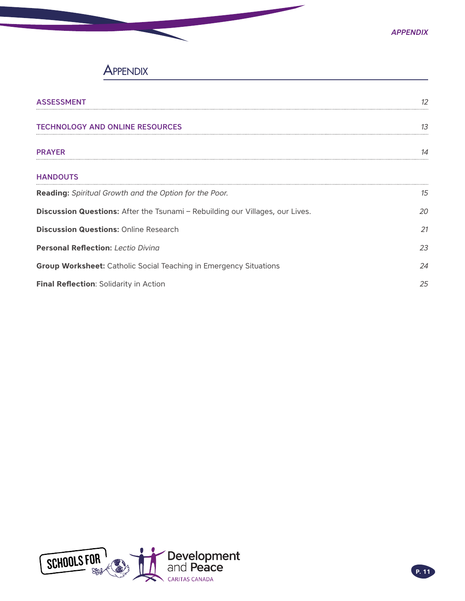## **APPENDIX**

| <b>ASSESSMENT</b>                                                             | 12        |
|-------------------------------------------------------------------------------|-----------|
| <b>TECHNOLOGY AND ONLINE RESOURCES</b>                                        | 13        |
| <b>PRAYER</b>                                                                 | $1\Delta$ |
| <b>HANDOUTS</b>                                                               |           |
| <b>Reading:</b> Spiritual Growth and the Option for the Poor.                 | 15        |
| Discussion Questions: After the Tsunami - Rebuilding our Villages, our Lives. | 20        |
| <b>Discussion Questions: Online Research</b>                                  | 21        |
| <b>Personal Reflection: Lectio Diving</b>                                     | 23        |
| <b>Group Worksheet:</b> Catholic Social Teaching in Emergency Situations      | 24        |
| Final Reflection: Solidarity in Action                                        | 25        |

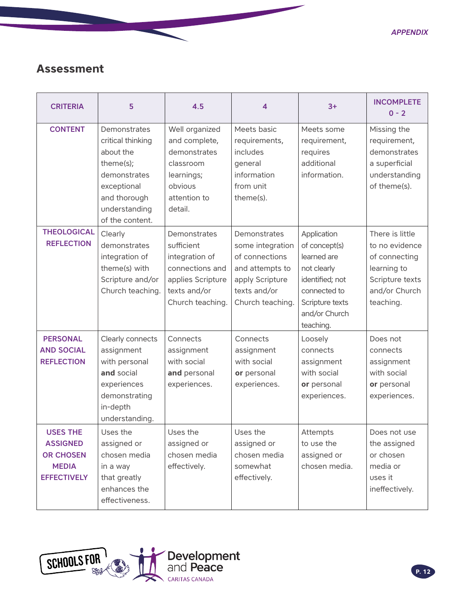## <span id="page-11-0"></span>**Assessment**

| <b>CRITERIA</b>                                                                              | 5                                                                                                                                              | 4.5                                                                                                                      | 4                                                                                                                            | $3+$                                                                                                                                           | <b>INCOMPLETE</b><br>$0 - 2$                                                                                       |
|----------------------------------------------------------------------------------------------|------------------------------------------------------------------------------------------------------------------------------------------------|--------------------------------------------------------------------------------------------------------------------------|------------------------------------------------------------------------------------------------------------------------------|------------------------------------------------------------------------------------------------------------------------------------------------|--------------------------------------------------------------------------------------------------------------------|
| <b>CONTENT</b>                                                                               | Demonstrates<br>critical thinking<br>about the<br>theme(s);<br>demonstrates<br>exceptional<br>and thorough<br>understanding<br>of the content. | Well organized<br>and complete,<br>demonstrates<br>classroom<br>learnings;<br>obvious<br>attention to<br>detail.         | Meets basic<br>requirements,<br>includes<br>general<br>information<br>from unit<br>theme(s).                                 | Meets some<br>requirement,<br>requires<br>additional<br>information.                                                                           | Missing the<br>requirement,<br>demonstrates<br>a superficial<br>understanding<br>of theme(s).                      |
| <b>THEOLOGICAL</b><br><b>REFLECTION</b>                                                      | Clearly<br>demonstrates<br>integration of<br>theme(s) with<br>Scripture and/or<br>Church teaching.                                             | Demonstrates<br>sufficient<br>integration of<br>connections and<br>applies Scripture<br>texts and/or<br>Church teaching. | Demonstrates<br>some integration<br>of connections<br>and attempts to<br>apply Scripture<br>texts and/or<br>Church teaching. | Application<br>of concept(s)<br>learned are<br>not clearly<br>identified; not<br>connected to<br>Scripture texts<br>and/or Church<br>teaching. | There is little<br>to no evidence<br>of connecting<br>learning to<br>Scripture texts<br>and/or Church<br>teaching. |
| <b>PERSONAL</b><br><b>AND SOCIAL</b><br><b>REFLECTION</b>                                    | Clearly connects<br>assignment<br>with personal<br>and social<br>experiences<br>demonstrating<br>in-depth<br>understanding.                    | Connects<br>assignment<br>with social<br>and personal<br>experiences.                                                    | Connects<br>assignment<br>with social<br>or personal<br>experiences.                                                         | Loosely<br>connects<br>assignment<br>with social<br>or personal<br>experiences.                                                                | Does not<br>connects<br>assignment<br>with social<br>or personal<br>experiences.                                   |
| <b>USES THE</b><br><b>ASSIGNED</b><br><b>OR CHOSEN</b><br><b>MEDIA</b><br><b>EFFECTIVELY</b> | Uses the<br>assigned or<br>chosen media<br>in a way<br>that greatly<br>enhances the<br>effectiveness.                                          | Uses the<br>assigned or<br>chosen media<br>effectively.                                                                  | Uses the<br>assigned or<br>chosen media<br>somewhat<br>effectively.                                                          | Attempts<br>to use the<br>assigned or<br>chosen media.                                                                                         | Does not use<br>the assigned<br>or chosen<br>media or<br>uses it<br>ineffectively.                                 |

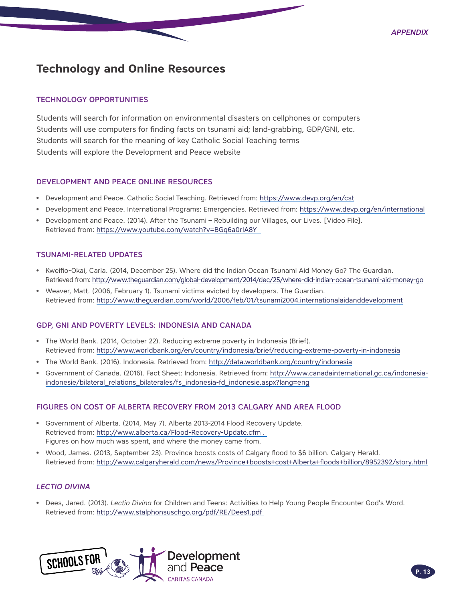## <span id="page-12-0"></span>**Technology and Online Resources**

#### TECHNOLOGY OPPORTUNITIES

Students will search for information on environmental disasters on cellphones or computers Students will use computers for finding facts on tsunami aid; land-grabbing, GDP/GNI, etc. Students will search for the meaning of key Catholic Social Teaching terms Students will explore the Development and Peace website

#### DEVELOPMENT AND PEACE ONLINE RESOURCES

- Development and Peace. Catholic Social Teaching. Retrieved from:<https://www.devp.org/en/cst>
- Development and Peace. International Programs: Emergencies. Retrieved from: <https://www.devp.org/en/international>
- Development and Peace. (2014). After the Tsunami Rebuilding our Villages, our Lives. [Video File]. Retrieved from:<https://www.youtube.com/watch?v=BGq6a0rIA8Y>

#### TSUNAMI-RELATED UPDATES

- Kweifio-Okai, Carla. (2014, December 25). Where did the Indian Ocean Tsunami Aid Money Go? The Guardian. Retrieved from:<http://www.theguardian.com/global-development/2014/dec/25/where-did-indian-ocean-tsunami-aid-money-go>
- Weaver, Matt. (2006, February 1). Tsunami victims evicted by developers. The Guardian. Retrieved from:<http://www.theguardian.com/world/2006/feb/01/tsunami2004.internationalaidanddevelopment>

#### GDP, GNI AND POVERTY LEVELS: INDONESIA AND CANADA

- The World Bank. (2014, October 22). Reducing extreme poverty in Indonesia (Brief). Retrieved from:<http://www.worldbank.org/en/country/indonesia/brief/reducing-extreme-poverty-in-indonesia>
- The World Bank. (2016). Indonesia. Retrieved from:<http://data.worldbank.org/country/indonesia>
- Government of Canada. (2016). Fact Sheet: Indonesia. Retrieved from: [http://www.canadainternational.gc.ca/indonesia](http://www.canadainternational.gc.ca/indonesia-indonesie/bilateral_relations_bilaterales/fs_indonesia-fd_indonesie.aspx?lang=eng)[indonesie/bilateral\\_relations\\_bilaterales/fs\\_indonesia-fd\\_indonesie.aspx?lang=eng](http://www.canadainternational.gc.ca/indonesia-indonesie/bilateral_relations_bilaterales/fs_indonesia-fd_indonesie.aspx?lang=eng)

#### FIGURES ON COST OF ALBERTA RECOVERY FROM 2013 CALGARY AND AREA FLOOD

- Government of Alberta. (2014, May 7). Alberta 2013-2014 Flood Recovery Update. Retrieved from:<http://www.alberta.ca/Flood-Recovery-Update.cfm> . Figures on how much was spent, and where the money came from.
- Wood, James. (2013, September 23). Province boosts costs of Calgary flood to \$6 billion. Calgary Herald. Retrieved from:<http://www.calgaryherald.com/news/Province+boosts+cost+Alberta+floods+billion/8952392/story.html>

#### *LECTIO DIVINA*

• Dees, Jared. (2013). *Lectio Divina* for Children and Teens: Activities to Help Young People Encounter God's Word. Retrieved from:<http://www.stalphonsuschgo.org/pdf/RE/Dees1.pdf>

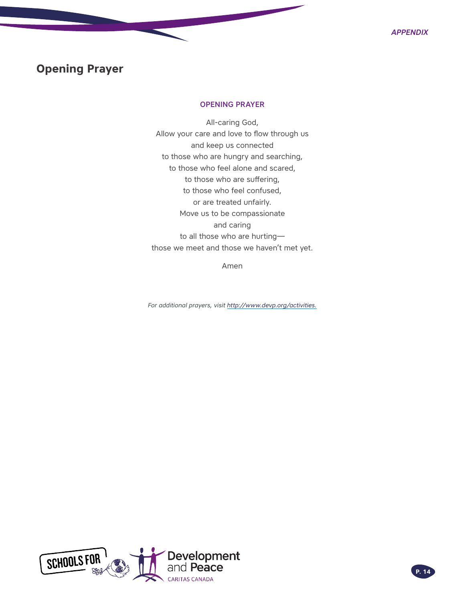## <span id="page-13-0"></span>**Opening Prayer**

#### OPENING PRAYER

All-caring God, Allow your care and love to flow through us and keep us connected to those who are hungry and searching, to those who feel alone and scared, to those who are suffering, to those who feel confused, or are treated unfairly. Move us to be compassionate and caring to all those who are hurting those we meet and those we haven't met yet.

Amen

*For additional prayers, visit [http://www.devp.org/activities.](http://www.devp.org/activities)*

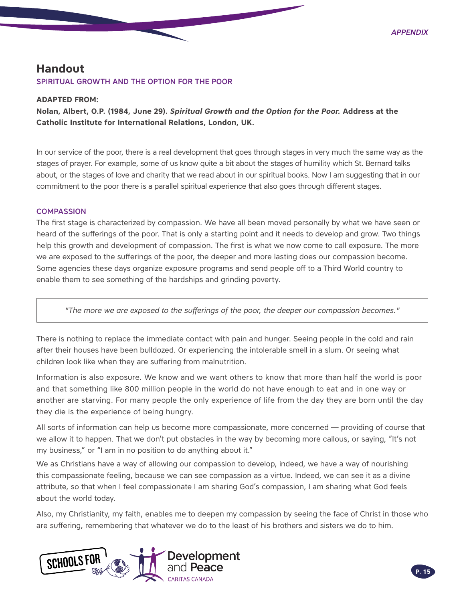### <span id="page-14-0"></span>**Handout** SPIRITUAL GROWTH AND THE OPTION FOR THE POOR

#### **ADAPTED FROM:**

**Nolan, Albert, O.P. (1984, June 29).** *Spiritual Growth and the Option for the Poor.* **Address at the Catholic Institute for International Relations, London, UK.** 

In our service of the poor, there is a real development that goes through stages in very much the same way as the stages of prayer. For example, some of us know quite a bit about the stages of humility which St. Bernard talks about, or the stages of love and charity that we read about in our spiritual books. Now I am suggesting that in our commitment to the poor there is a parallel spiritual experience that also goes through different stages.

#### **COMPASSION**

The first stage is characterized by compassion. We have all been moved personally by what we have seen or heard of the sufferings of the poor. That is only a starting point and it needs to develop and grow. Two things help this growth and development of compassion. The first is what we now come to call exposure. The more we are exposed to the sufferings of the poor, the deeper and more lasting does our compassion become. Some agencies these days organize exposure programs and send people off to a Third World country to enable them to see something of the hardships and grinding poverty.

*"The more we are exposed to the sufferings of the poor, the deeper our compassion becomes."*

There is nothing to replace the immediate contact with pain and hunger. Seeing people in the cold and rain after their houses have been bulldozed. Or experiencing the intolerable smell in a slum. Or seeing what children look like when they are suffering from malnutrition.

Information is also exposure. We know and we want others to know that more than half the world is poor and that something like 800 million people in the world do not have enough to eat and in one way or another are starving. For many people the only experience of life from the day they are born until the day they die is the experience of being hungry.

All sorts of information can help us become more compassionate, more concerned — providing of course that we allow it to happen. That we don't put obstacles in the way by becoming more callous, or saying, "It's not my business," or "I am in no position to do anything about it."

We as Christians have a way of allowing our compassion to develop, indeed, we have a way of nourishing this compassionate feeling, because we can see compassion as a virtue. Indeed, we can see it as a divine attribute, so that when I feel compassionate I am sharing God's compassion, I am sharing what God feels about the world today.

Also, my Christianity, my faith, enables me to deepen my compassion by seeing the face of Christ in those who are suffering, remembering that whatever we do to the least of his brothers and sisters we do to him.

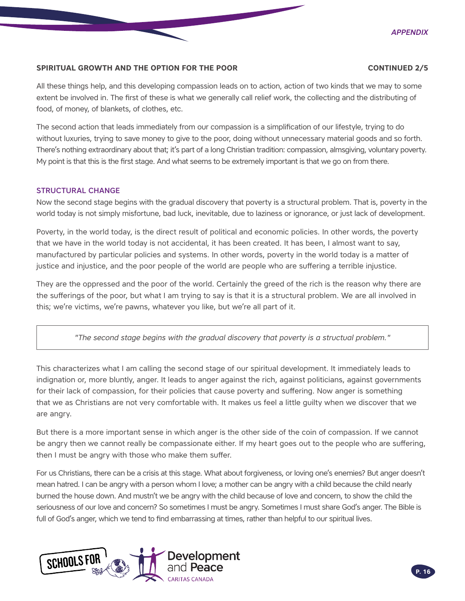#### **SPIRITUAL GROWTH AND THE OPTION FOR THE POOR CONTINUED 2/5**

All these things help, and this developing compassion leads on to action, action of two kinds that we may to some extent be involved in. The first of these is what we generally call relief work, the collecting and the distributing of food, of money, of blankets, of clothes, etc.

The second action that leads immediately from our compassion is a simplification of our lifestyle, trying to do without luxuries, trying to save money to give to the poor, doing without unnecessary material goods and so forth. There's nothing extraordinary about that; it's part of a long Christian tradition: compassion, almsgiving, voluntary poverty. My point is that this is the first stage. And what seems to be extremely important is that we go on from there.

#### STRUCTURAL CHANGE

Now the second stage begins with the gradual discovery that poverty is a structural problem. That is, poverty in the world today is not simply misfortune, bad luck, inevitable, due to laziness or ignorance, or just lack of development.

Poverty, in the world today, is the direct result of political and economic policies. In other words, the poverty that we have in the world today is not accidental, it has been created. It has been, I almost want to say, manufactured by particular policies and systems. In other words, poverty in the world today is a matter of justice and injustice, and the poor people of the world are people who are suffering a terrible injustice.

They are the oppressed and the poor of the world. Certainly the greed of the rich is the reason why there are the sufferings of the poor, but what I am trying to say is that it is a structural problem. We are all involved in this; we're victims, we're pawns, whatever you like, but we're all part of it.

*"The second stage begins with the gradual discovery that poverty is a structual problem."*

This characterizes what I am calling the second stage of our spiritual development. It immediately leads to indignation or, more bluntly, anger. It leads to anger against the rich, against politicians, against governments for their lack of compassion, for their policies that cause poverty and suffering. Now anger is something that we as Christians are not very comfortable with. It makes us feel a little guilty when we discover that we are angry.

But there is a more important sense in which anger is the other side of the coin of compassion. If we cannot be angry then we cannot really be compassionate either. If my heart goes out to the people who are suffering, then I must be angry with those who make them suffer.

For us Christians, there can be a crisis at this stage. What about forgiveness, or loving one's enemies? But anger doesn't mean hatred. I can be angry with a person whom I love; a mother can be angry with a child because the child nearly burned the house down. And mustn't we be angry with the child because of love and concern, to show the child the seriousness of our love and concern? So sometimes I must be angry. Sometimes I must share God's anger. The Bible is full of God's anger, which we tend to find embarrassing at times, rather than helpful to our spiritual lives.

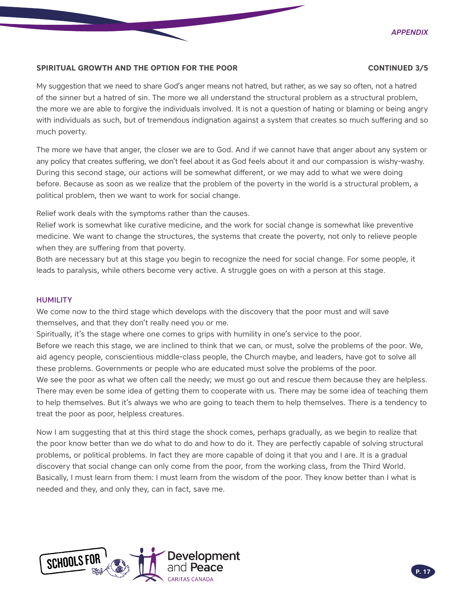#### **SPIRITUAL GROWTH AND THE OPTION FOR THE POOR CONTINUED 3/5**

My suggestion that we need to share God's anger means not hatred, but rather, as we say so often, not a hatred of the sinner but a hatred of sin. The more we all understand the structural problem as a structural problem, the more we are able to forgive the individuals involved. It is not a question of hating or blaming or being angry with individuals as such, but of tremendous indignation against a system that creates so much suffering and so much poverty.

The more we have that anger, the closer we are to God. And if we cannot have that anger about any system or any policy that creates suffering, we don't feel about it as God feels about it and our compassion is wishy-washy. During this second stage, our actions will be somewhat different, or we may add to what we were doing before. Because as soon as we realize that the problem of the poverty in the world is a structural problem, a political problem, then we want to work for social change.

Relief work deals with the symptoms rather than the causes.

Relief work is somewhat like curative medicine, and the work for social change is somewhat like preventive medicine. We want to change the structures, the systems that create the poverty, not only to relieve people when they are suffering from that poverty.

Both are necessary but at this stage you begin to recognize the need for social change. For some people, it leads to paralysis, while others become very active. A struggle goes on with a person at this stage.

#### **HUMILITY**

We come now to the third stage which develops with the discovery that the poor must and will save themselves, and that they don't really need you or me.

Spiritually, it's the stage where one comes to grips with humility in one's service to the poor.

Before we reach this stage, we are inclined to think that we can, or must, solve the problems of the poor. We, aid agency people, conscientious middle-class people, the Church maybe, and leaders, have got to solve all these problems. Governments or people who are educated must solve the problems of the poor.

We see the poor as what we often call the needy; we must go out and rescue them because they are helpless. There may even be some idea of getting them to cooperate with us. There may be some idea of teaching them to help themselves. But it's always we who are going to teach them to help themselves. There is a tendency to treat the poor as poor, helpless creatures.

Now I am suggesting that at this third stage the shock comes, perhaps gradually, as we begin to realize that the poor know better than we do what to do and how to do it. They are perfectly capable of solving structural problems, or political problems. In fact they are more capable of doing it that you and I are. It is a gradual discovery that social change can only come from the poor, from the working class, from the Third World. Basically, I must learn from them: I must learn from the wisdom of the poor. They know better than I what is needed and they, and only they, can in fact, save me.

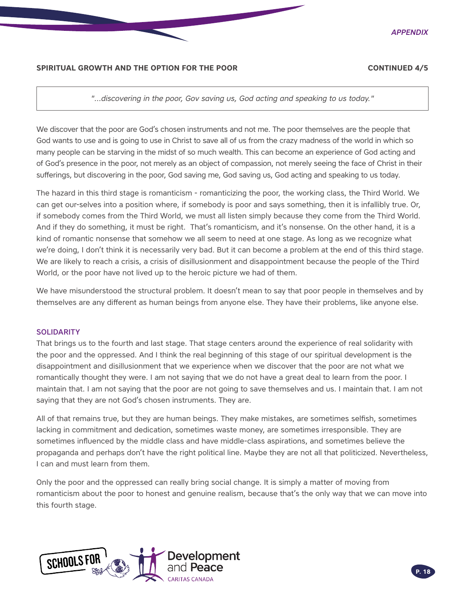

#### **SPIRITUAL GROWTH AND THE OPTION FOR THE POOR CONTINUED 4/5**

*"…discovering in the poor, Gov saving us, God acting and speaking to us today."*

We discover that the poor are God's chosen instruments and not me. The poor themselves are the people that God wants to use and is going to use in Christ to save all of us from the crazy madness of the world in which so many people can be starving in the midst of so much wealth. This can become an experience of God acting and of God's presence in the poor, not merely as an object of compassion, not merely seeing the face of Christ in their sufferings, but discovering in the poor, God saving me, God saving us, God acting and speaking to us today.

The hazard in this third stage is romanticism - romanticizing the poor, the working class, the Third World. We can get our-selves into a position where, if somebody is poor and says something, then it is infallibly true. Or, if somebody comes from the Third World, we must all listen simply because they come from the Third World. And if they do something, it must be right. That's romanticism, and it's nonsense. On the other hand, it is a kind of romantic nonsense that somehow we all seem to need at one stage. As long as we recognize what we're doing, I don't think it is necessarily very bad. But it can become a problem at the end of this third stage. We are likely to reach a crisis, a crisis of disillusionment and disappointment because the people of the Third World, or the poor have not lived up to the heroic picture we had of them.

We have misunderstood the structural problem. It doesn't mean to say that poor people in themselves and by themselves are any different as human beings from anyone else. They have their problems, like anyone else.

#### **SOLIDARITY**

That brings us to the fourth and last stage. That stage centers around the experience of real solidarity with the poor and the oppressed. And I think the real beginning of this stage of our spiritual development is the disappointment and disillusionment that we experience when we discover that the poor are not what we romantically thought they were. I am not saying that we do not have a great deal to learn from the poor. I maintain that. I am not saying that the poor are not going to save themselves and us. I maintain that. I am not saying that they are not God's chosen instruments. They are.

All of that remains true, but they are human beings. They make mistakes, are sometimes selfish, sometimes lacking in commitment and dedication, sometimes waste money, are sometimes irresponsible. They are sometimes influenced by the middle class and have middle-class aspirations, and sometimes believe the propaganda and perhaps don't have the right political line. Maybe they are not all that politicized. Nevertheless, I can and must learn from them.

Only the poor and the oppressed can really bring social change. It is simply a matter of moving from romanticism about the poor to honest and genuine realism, because that's the only way that we can move into this fourth stage.

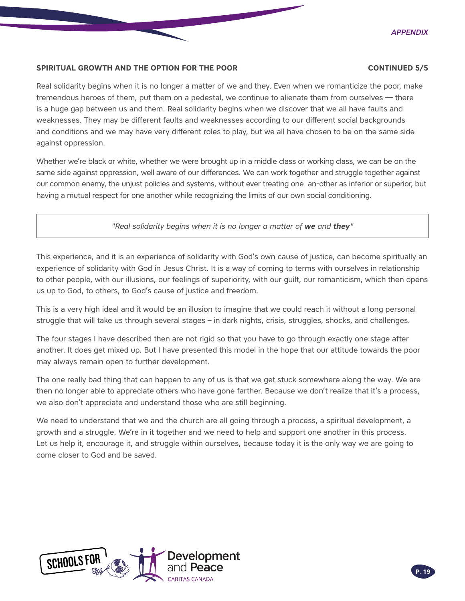

#### **SPIRITUAL GROWTH AND THE OPTION FOR THE POOR CONTINUED 5/5**

Real solidarity begins when it is no longer a matter of we and they. Even when we romanticize the poor, make tremendous heroes of them, put them on a pedestal, we continue to alienate them from ourselves — there is a huge gap between us and them. Real solidarity begins when we discover that we all have faults and weaknesses. They may be different faults and weaknesses according to our different social backgrounds and conditions and we may have very different roles to play, but we all have chosen to be on the same side against oppression.

Whether we're black or white, whether we were brought up in a middle class or working class, we can be on the same side against oppression, well aware of our differences. We can work together and struggle together against our common enemy, the unjust policies and systems, without ever treating one an-other as inferior or superior, but having a mutual respect for one another while recognizing the limits of our own social conditioning.

### *"Real solidarity begins when it is no longer a matter of we and they"*

This experience, and it is an experience of solidarity with God's own cause of justice, can become spiritually an experience of solidarity with God in Jesus Christ. It is a way of coming to terms with ourselves in relationship to other people, with our illusions, our feelings of superiority, with our guilt, our romanticism, which then opens us up to God, to others, to God's cause of justice and freedom.

This is a very high ideal and it would be an illusion to imagine that we could reach it without a long personal struggle that will take us through several stages – in dark nights, crisis, struggles, shocks, and challenges.

The four stages I have described then are not rigid so that you have to go through exactly one stage after another. It does get mixed up. But I have presented this model in the hope that our attitude towards the poor may always remain open to further development.

The one really bad thing that can happen to any of us is that we get stuck somewhere along the way. We are then no longer able to appreciate others who have gone farther. Because we don't realize that it's a process, we also don't appreciate and understand those who are still beginning.

We need to understand that we and the church are all going through a process, a spiritual development, a growth and a struggle. We're in it together and we need to help and support one another in this process. Let us help it, encourage it, and struggle within ourselves, because today it is the only way we are going to come closer to God and be saved.

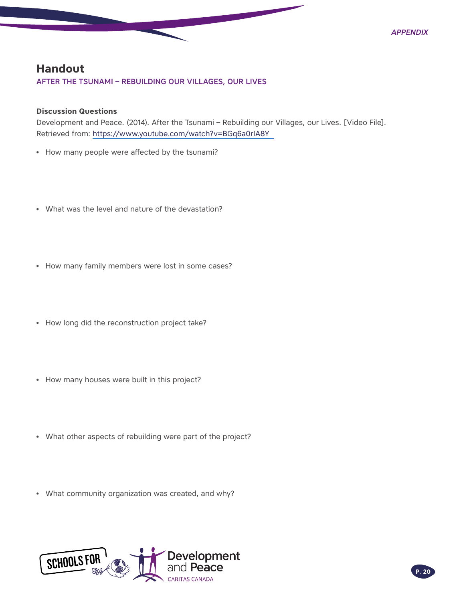

## <span id="page-19-0"></span>**Handout**

### AFTER THE TSUNAMI – REBUILDING OUR VILLAGES, OUR LIVES

#### **Discussion Questions**

Development and Peace. (2014). After the Tsunami – Rebuilding our Villages, our Lives. [Video File]. Retrieved from:<https://www.youtube.com/watch?v=BGq6a0rIA8Y>

- How many people were affected by the tsunami?
- What was the level and nature of the devastation?
- How many family members were lost in some cases?
- How long did the reconstruction project take?
- How many houses were built in this project?
- What other aspects of rebuilding were part of the project?
- What community organization was created, and why?

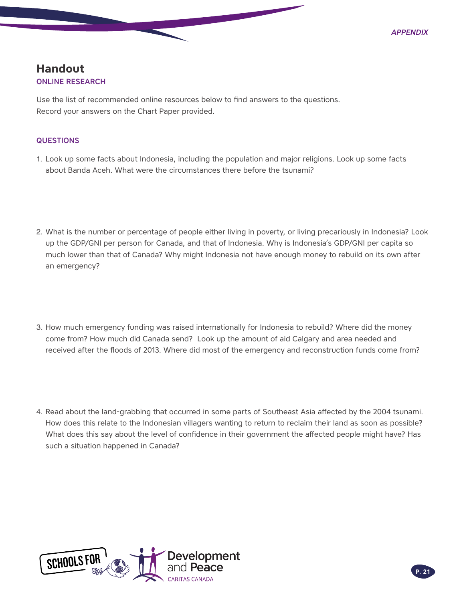## <span id="page-20-0"></span>**Handout** ONLINE RESEARCH

Use the list of recommended online resources below to find answers to the questions. Record your answers on the Chart Paper provided.

#### **QUESTIONS**

- 1. Look up some facts about Indonesia, including the population and major religions. Look up some facts about Banda Aceh. What were the circumstances there before the tsunami?
- 2. What is the number or percentage of people either living in poverty, or living precariously in Indonesia? Look up the GDP/GNI per person for Canada, and that of Indonesia. Why is Indonesia's GDP/GNI per capita so much lower than that of Canada? Why might Indonesia not have enough money to rebuild on its own after an emergency?
- 3. How much emergency funding was raised internationally for Indonesia to rebuild? Where did the money come from? How much did Canada send? Look up the amount of aid Calgary and area needed and received after the floods of 2013. Where did most of the emergency and reconstruction funds come from?
- 4. Read about the land-grabbing that occurred in some parts of Southeast Asia affected by the 2004 tsunami. How does this relate to the Indonesian villagers wanting to return to reclaim their land as soon as possible? What does this say about the level of confidence in their government the affected people might have? Has such a situation happened in Canada?

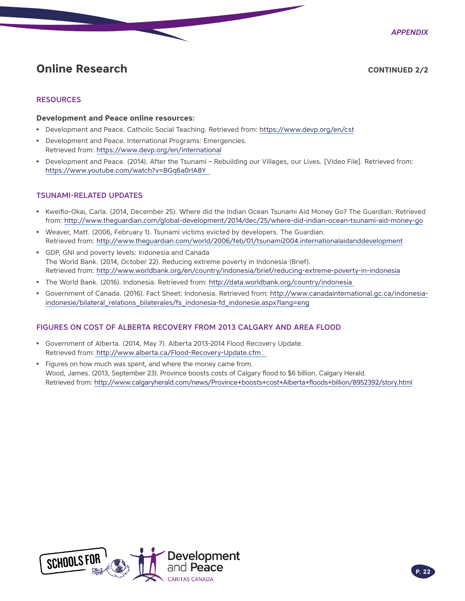*Appendix*

## **Online Research CONTINUED 2/2**

#### **RESOURCES**

#### **Development and Peace online resources:**

- Development and Peace. Catholic Social Teaching. Retrieved from:<https://www.devp.org/en/cst>
- Development and Peace. International Programs: Emergencies. Retrieved from:<https://www.devp.org/en/international>
- Development and Peace. (2014). After the Tsunami Rebuilding our Villages, our Lives. [Video File]. Retrieved from: <https://www.youtube.com/watch?v=BGq6a0rIA8Y>

#### TSUNAMI-RELATED UPDATES

- Kweifio-Okai, Carla. (2014, December 25). Where did the Indian Ocean Tsunami Aid Money Go? The Guardian. Retrieved from: <http://www.theguardian.com/global-development/2014/dec/25/where-did-indian-ocean-tsunami-aid-money-go>
- Weaver, Matt. (2006, February 1). Tsunami victims evicted by developers. The Guardian. Retrieved from:<http://www.theguardian.com/world/2006/feb/01/tsunami2004.internationalaidanddevelopment>
- GDP, GNI and poverty levels: Indonesia and Canada The World Bank. (2014, October 22). Reducing extreme poverty in Indonesia (Brief). Retrieved from:<http://www.worldbank.org/en/country/indonesia/brief/reducing-extreme-poverty-in-indonesia>
- The World Bank. (2016). Indonesia. Retrieved from:<http://data.worldbank.org/country/indonesia>
- Government of Canada. (2016). Fact Sheet: Indonesia. Retrieved from: [http://www.canadainternational.gc.ca/indonesia](http://www.canadainternational.gc.ca/indonesia-indonesie/bilateral_relations_bilaterales/fs_indonesia-fd_indonesie.aspx?lang=eng)[indonesie/bilateral\\_relations\\_bilaterales/fs\\_indonesia-fd\\_indonesie.aspx?lang=eng](http://www.canadainternational.gc.ca/indonesia-indonesie/bilateral_relations_bilaterales/fs_indonesia-fd_indonesie.aspx?lang=eng)

#### FIGURES ON COST OF ALBERTA RECOVERY FROM 2013 CALGARY AND AREA FLOOD

- Government of Alberta. (2014, May 7). Alberta 2013-2014 Flood Recovery Update. Retrieved from: <http://www.alberta.ca/Flood-Recovery-Update.cfm> .
- Figures on how much was spent, and where the money came from. Wood, James. (2013, September 23). Province boosts costs of Calgary flood to \$6 billion. Calgary Herald. Retrieved from:<http://www.calgaryherald.com/news/Province+boosts+cost+Alberta+floods+billion/8952392/story.html>

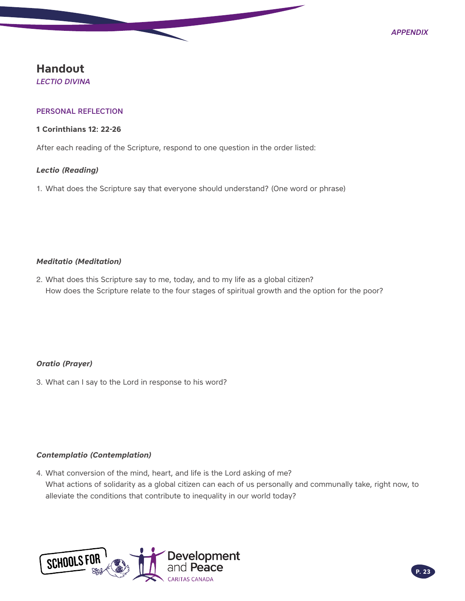## <span id="page-22-0"></span>**Handout**

*LECTIO DIVINA*

#### PERSONAL REFLECTION

#### **1 Corinthians 12: 22-26**

After each reading of the Scripture, respond to one question in the order listed:

#### *Lectio (Reading)*

1. What does the Scripture say that everyone should understand? (One word or phrase)

#### *Meditatio (Meditation)*

2. What does this Scripture say to me, today, and to my life as a global citizen? How does the Scripture relate to the four stages of spiritual growth and the option for the poor?

#### *Oratio (Prayer)*

3. What can I say to the Lord in response to his word?

#### *Contemplatio (Contemplation)*

4. What conversion of the mind, heart, and life is the Lord asking of me? What actions of solidarity as a global citizen can each of us personally and communally take, right now, to alleviate the conditions that contribute to inequality in our world today?

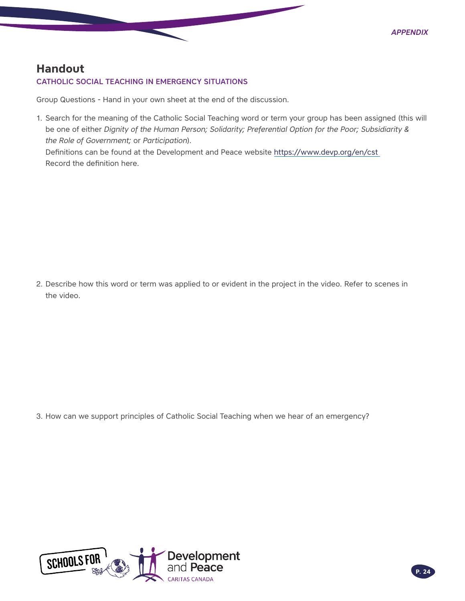## <span id="page-23-0"></span>**Handout**

#### CATHOLIC SOCIAL TEACHING IN EMERGENCY SITUATIONS

Group Questions - Hand in your own sheet at the end of the discussion.

1. Search for the meaning of the Catholic Social Teaching word or term your group has been assigned (this will be one of either *Dignity of the Human Person; Solidarity; Preferential Option for the Poor; Subsidiarity & the Role of Government;* or *Participation*).

Definitions can be found at the Development and Peace website <https://www.devp.org/en/cst> Record the definition here.

2. Describe how this word or term was applied to or evident in the project in the video. Refer to scenes in the video.

3. How can we support principles of Catholic Social Teaching when we hear of an emergency?